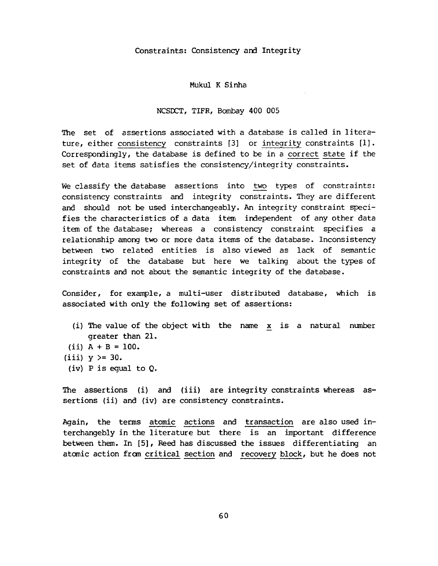## Constraints: Consistency and Integrity

## Mukul K Sinha

## NCSDCT, TIFR, Bombay 400 005

The set of assertions associated with a database is called in literature, either consistency constraints [3] or integrity constraints [1]. Correspondingly, the database is defined to be in a correct state if the set of data items satisfies the consistency/integrity constraints.

We classify the database assertions into two types of constraints: consistency constraints and integrity constraints. They are different and should not be used interchangeably. An integrity constraint specifies the characteristics of a data item independent of any other data item of the database; whereas a consistency constraint specifies a relationship among two or more data items of the database. Inconsistency between two related entities is also viewed as lack of semantic integrity of the database but here we talking about the types of constraints and not about the semantic integrity of the database.

Consider, for example, a multi-user distributed database, which is associated with only the following set of assertions:

- (i) The value of the object with the name x is a natural number greater than 21.
- (ii)  $A + B = 100$ .
- (iii)  $y \ge 30$ .
- (iv) P is equal to Q.

The assertions (i) and (iii) are integrity constraints whereas assertions (ii) and (iv) are consistency constraints.

Again, the terms atomic actions and transaction are also used interchangebly in the literature but there is an important difference between them. In [5], Reed has discussed the issues differentiating an atomic action from critical section and recovery block, but he does not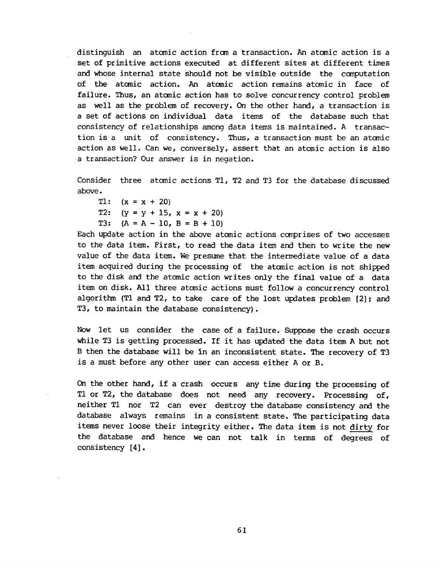distinguish an atomic action from a transaction. An atomic action is a set of primitive actions executed at different sites at different times and whose internal state should not be visible outside the computation of the atomic action. An atomic action remains atomic in face of failure. Thus, an atomic action has to solve concurrency control problem as well as the problem of recovery. On the other hand, a transaction is a set of actions on individual data items of the database such that consistency of relationships among data items is maintained. A transaction is a unit of consistency. Thus, a transaction must be an atemic action as well. Can we, conversely, assert that an atomic action is also a transaction? Our answer is in negation.

Consider three atomic actions TI, T2 and T3 for the database discussed above.

T1:  $(x = x + 20)$ T2: T3:  $(y = y + 15, x = x + 20)$  $(A = A - 10, B = B + 10)$ 

Each update action in the above atomic actions comprises of two accesses to the data item. First, to read the data item and then to write the new value of the data item. We presume that the intermediate value of a data item acquired during the processing of the atomic action is not shipped to the disk and the atomic action writes only the final value of a *data*  item on disk. All three atomic actions must follow a concurrency control algorithm (Tl and T2, to take care of the lost updates problem [2]; and T3, to maintain the database consistency).

Now let us consider the case of a failure. Suppose the crash occurs while T3 is getting processed. If it has updated the data item A but not B then the database will be in an inconsistent state. The recovery of T3 is a must before any other user can access either A or B.

On the other hand, if a crash occurs any time during the processing of T1 or T2, the database does not need any recovery. Processing of, neither T1 nor T2 can ever destroy the database consistency and the database always remains in a consistent state. The participating data items never loose their integrity either. The data item is not dirty for the database and hence we can not talk in terms of degrees of consistency [4].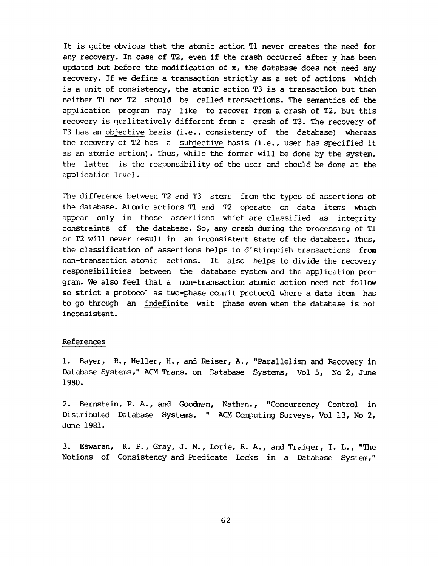It is quite obvious that the atomic action T1 never creates the need for any recovery. In case of T2, even if the crash occurred after y has been updated but before the modification of  $x$ , the database does not need any recovery. If we define a transaction strictly as a set of actions which is a unit of consistency, the atomic action T3 is a transaction but then neither T1 nor T2 should be called transactions. The semantics of the application program may like to recover from a crash of T2, but this recovery is qualitatively different from a crash of T3. The recovery of T3 has an objective basis (i.e., consistency of the database) whereas the recovery of T2 has a subjective basis (i.e., user has specified it as an atomic action). Thus, while the former will be done by the system, the latter is the responsibility of the user and should be done at the application level.

The difference between T2 and T3 stems from the types of assertions of the database. Atomic actions T1 and T2 operate on data items which appear only in those assertions which are classified as integrity constraints of the database. So, any crash during the processing of T1 or T2 will never result in an inconsistent state of the database. Thus, the classification of assertions helps to distinguish transactions from non-transaction atomic actions. It also helps to divide the recovery responsibilities between the database system and the application program. We also feel that a non-transaction atomic action need not follow so strict a protocol as two-phase commit protocol where a data item has to go through an indefinite wait phase even when the database is not inconsistent.

## References

1. Bayer, R., Heller, H., and Reiser, A., "Parallelism and Recovery in Database Systems," ACMTrans. on Database Systems, Vol 5, No 2, June 1980.

2. Bernstein, P. A., and Goodman, Nathan., "Concurrency Control in Distributed Database Systems, " ACM Computing Surveys, Vol 13, No 2, June 1981.

3. Eswaran, K. P., Gray, J. N., Lorie, R. A., and Traiger, I. L., "The Notions of Consistency and Predicate Locks in a Database System,"